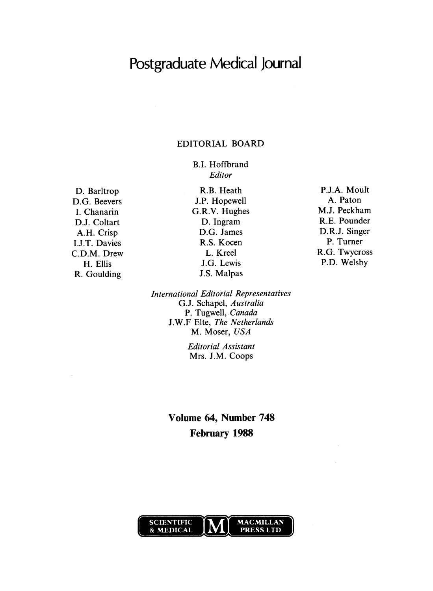# Postgraduate Medical Journal

# EDITORIAL BOARD

B.I. Hoffbrand Editor

D. Barltrop D.G. Beevers I. Chanarin D.J. Coltart A.H. Crisp I.J.T. Davies C.D.M. Drew H. Ellis R. Goulding

R.B. Heath J.P. Hopewell G.R.V. Hughes D. Ingram D.G. James R.S. Kocen L. Kreel J.G. Lewis J.S. Malpas

P.J.A. Moult A. Paton M.J. Peckham R.E. Pounder D.R.J. Singer P. Turner R.G. Twycross P.D. Welsby

International Editorial Representatives G.J. Schapel, Australia P. Tugwell. Canada J.W.F Elte, The Netherlands M. Moser, USA

> Editorial Assistant Mrs. J.M. Coops

Volume 64, Number 748 February 1988

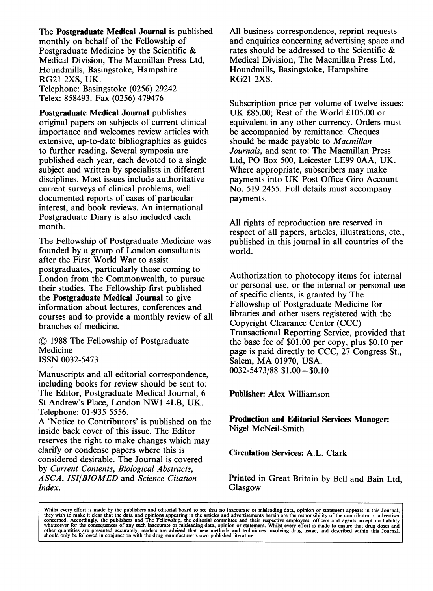The Postgraduate Medical Journal is published monthly on behalf of the Fellowship of Postgraduate Medicine by the Scientific & Medical Division, The Macmillan Press Ltd, Houndmills, Basingstoke, Hampshire RG21 2XS, UK. Telephone: Basingstoke (0256) 29242 Telex: 858493. Fax (0256) 479476

Postgraduate Medical Journal publishes original papers on subjects of current clinical importance and welcomes review articles with extensive, up-to-date bibliographies as guides to further reading. Several symposia are published each year, each devoted to a single subject and written by specialists in different disciplines. Most issues include authoritative current surveys of clinical problems, well documented reports of cases of particular interest, and book reviews. An international Postgraduate Diary is also included each month.

The Fellowship of Postgraduate Medicine was founded by a group of London consultants after the First World War to assist postgraduates, particularly those coming to London from the Commonwealth, to pursue their studies. The Fellowship first published the Postgraduate Medical Journal to give information about lectures, conferences and courses and to provide a monthly review of all branches of medicine.

O <sup>1988</sup> The Fellowship of Postgraduate Medicine ISSN 0032-5473

Manuscripts and all editorial correspondence, including books for review should be sent to: The Editor, Postgraduate Medical Journal, 6 St Andrew's Place, London NW1 4LB, UK. Telephone: 01-935 5556.

A 'Notice to Contributors' is published on the inside back cover of this issue. The Editor reserves the right to make changes which may clarify or condense papers where this is considered desirable. The Journal is covered by Current Contents, Biological Abstracts, ASCA, ISI/BIOMED and Science Citation Index.

All business correspondence, reprint requests and enquiries concerning advertising space and rates should be addressed to the Scientific & Medical Division, The Macmillan Press Ltd, Houndmills, Basingstoke, Hampshire RG21 2XS.

Subscription price per volume of twelve issues: UK £85.00; Rest of the World £105.00 or equivalent in any other currency. Orders must be accompanied by remittance. Cheques should be made payable to Macmillan Journals, and sent to: The Macmillan Press Ltd, PO Box 500, Leicester LE99 OAA, UK. Where appropriate, subscribers may make payments into UK Post Office Giro Account No. 519 2455. Full details must accompany payments.

All rights of reproduction are reserved in respect of all papers, articles, illustrations, etc., published in this journal in all countries of the world.

Authorization to photocopy items for internal or personal use, or the internal or personal use of specific clients, is granted by The Fellowship of Postgraduate Medicine for libraries and other users registered with the Copyright Clearance Center (CCC) Transactional Reporting Service, provided that the base fee of \$01.00 per copy, plus \$0.10 per page is paid directly to CCC, 27 Congress St., Salem, MA 01970, USA.  $0032 - 5473/88$  \$1.00 + \$0.10

Publisher: Alex Williamson

Production and Editorial Services Manager: Nigel McNeil-Smith

Circulation Services: A.L. Clark

Printed in Great Britain by Bell and Bain Ltd, Glasgow

Whilst every effort is made by the publishers and editorial board to see that no inaccurate or misleading data, opinion or statement appears in this Journal, they wish to make it clear that the data and opinions appearing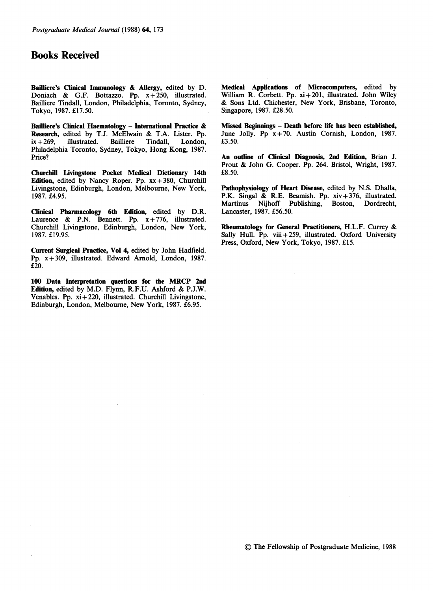# Books Received

Bailliere's Clinical Immunology & Allergy, edited by D. Doniach & G.F. Bottazzo. Pp.  $x+250$ , illustrated. Bailliere Tindall, London, Philadelphia, Toronto, Sydney, Tokyo, 1987. £17.50.

Bailliere's Clinical Haematology - International Practice & Research, edited by T.J. McElwain & T.A. Lister. Pp. ix + 269, illustrated. Bailliere Tindall, London, illustrated. Philadelphia Toronto, Sydney, Tokyo, Hong Kong, 1987. Price?

Churchill Livingstone Pocket Medical Dictionary 14th Edition, edited by Nancy Roper. Pp.  $xx + 380$ , Churchill Livingstone, Edinburgh, London, Melbourne, New York, 1987. £4.95.

Clinical Pharmacology 6th Edition, edited by D.R. Laurence & P.N. Bennett. Pp.  $x + 776$ , illustrated. Churchill Livingstone, Edinburgh, London, New York, 1987. £19.95.

Current Surgical Practice, Vol 4, edited by John Hadfield. Pp. x+309, illustrated. Edward Arnold, London, 1987. £20.

<sup>100</sup> Data Interpretation questions for the MRCP 2nd Edition, edited by M.D. Flynn, R.F.U. Ashford & P.J.W. Venables. Pp.  $xi + 220$ , illustrated. Churchill Livingstone, Edinburgh, London, Melbourne, New York, 1987. £6.95.

Medical Applications of Microcomputers, edited by William R. Corbett. Pp. xi+201, illustrated. John Wiley & Sons Ltd. Chichester, New York, Brisbane, Toronto, Singapore, 1987. £28.50.

Missed Beginnings - Death before life has been established, June Jolly. Pp  $x+70$ . Austin Cornish, London, 1987. £3.50.

An outline of Clinical Diagnosis, 2nd Edition, Brian J. Prout & John G. Cooper. Pp. 264. Bristol, Wright, 1987. £8.50.

Pathophysiology of Heart Disease, edited by N.S. Dhalla, P.K. Singal & R.E. Beamish. Pp. xiv+ 376, illustrated. Martinus Nijhoff Publishing, Boston, Dordrecht, Lancaster, 1987. £56.50.

Rheumatology for General Practitioners, H.L.F. Currey & Sally Hull. Pp. viii + 259, illustrated. Oxford University Press, Oxford, New York, Tokyo, 1987. £15.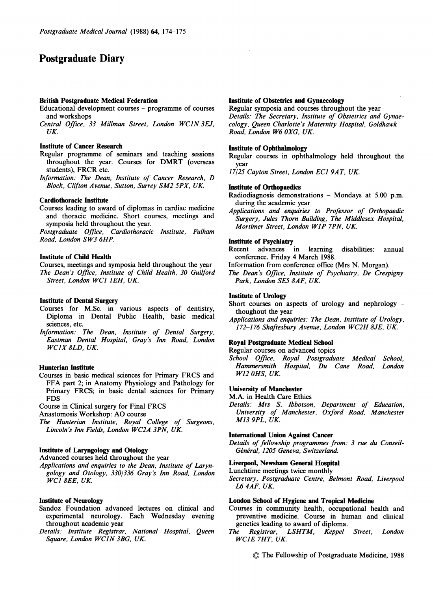# Postgraduate Diary

# British Postgraduate Medical Federation

- Educational development courses programme of courses and workshops
- Central Office, <sup>33</sup> Millman Street, London WCJN 3EJ, UK

#### Institute of Cancer Research

- Regular programme of seminars and teaching sessions throughout the year. Courses for DMRT (overseas students), FRCR etc.
- Information: The Dean, Institute of Cancer Research, D Block, Clifton Avenue, Sutton, Surrey SM2 5PX, UK.

## Cardiothoracic Institute

Courses leading to award of diplomas in cardiac medicine and thoracic medicine. Short courses, meetings and symposia held throughout the year.

Postgraduate Office, Cardiothoracic Institute, Fulham Road, London SW3 6HP.

#### Institute of Child Health

Courses, meetings and symposia held throughout the year The Dean's Office, Institute of Child Health, 30 Guilford Street, London WCJ JEH, UK.

#### Institute of Dental Surgery

- Courses for M.Sc. in various aspects of dentistry, Diploma in Dental Public Health, basic medical sciences, etc.
- Information: The Dean, Institute of Dental Surgery, Eastman Dental Hospital, Gray's Inn Road, London WCJX 8LD, UK.

# Hunterian Institute

Courses in basic medical sciences for Primary FRCS and FFA part 2; in Anatomy Physiology and Pathology for Primary FRCS; in basic dental sciences for Primary FDS

Course in Clinical surgery for Final FRCS

Anastomosis Workshop: AO course

The Hunterian Institute, Royal College of Surgeons, Lincoln's Inn Fields, London WC2A 3PN, UK.

# Institute of Laryngology and Otology

Advanced courses held throughout the year

Applications and enquiries to the Dean, Institute of Laryngology and Otology, 330/336 Gray's Inn Road, London WCI 8EE, UK.

#### Institute of Neurology

- Sandoz Foundation advanced lectures on clinical and experimental neurology. Each Wednesday evening throughout academic year
- Details: Institute Registrar, National Hospital, Queen Square, London WCIN 3BG, UK.

## Institute of Obstetrics and Gynaecology

Regular symposia and courses throughout the year Details: The Secretary, Institute of Obstetrics and Gynaecology, Queen Charlotte's Maternity Hospital, Goldhawk Road, London W6 OXG, UK

## Institute of Ophthalmology

- Regular courses in ophthalmology held throughout the year
- 17/25 Cayton Street, London ECJ 9AT, UK.

#### Institute of Orthopaedics

- Radiodiagnosis demonstrations Mondays at 5.00 p.m. during the academic year
- Applications and enquiries to Professor of Orthopaedic Surgery, Jules Thorn Building, The Middlesex Hospital, Mortimer Street, London WJP 7PN, UK.

#### Institute of Psychiatry

Recent advances in learning disabilities: annual conference. Friday 4 March 1988.

Information from conference office (Mrs N. Morgan).

The Dean's Office, Institute of Psychiatry, De Crespigny Park, London SE5 8AF, UK

# Institute of Urology

Short courses on aspects of urology and nephrology thoughout the year

Applications and enquiries: The Dean, Institute of Urology, 172-176 Shaftesbury Avenue, London WC2H 8JE, UK.

#### Royal Postgraduate Medical School

Regular courses on advanced topics

School Office, Royal Postgraduate Medical School, Hammersmith Hospital, Du Cane Road, London W12 OHS, UK

#### University of Manchester

M.A. in Health Care Ethics

Details: Mrs S. Ibbotson, Department of Education, University of Manchester, Oxford Road, Manchester M13 9PL, UK.

#### International Union Against Cancer

Details of fellowship programmes from: 3 rue du Conseil-Général, 1205 Geneva, Switzerland.

#### Liverpool, Newsham General Hospital

Lunchtime meetings twice monthly

Secretary, Postgraduate Centre, Belmont Road, Liverpool L6 4AF, UK

#### London School of Hygiene and Tropical Medicine

Courses in community health, occupational health and preventive medicine. Course in human and clinical genetics leading to award of diploma.

The Registrar, LSHTM, Keppel Street, London WCIE 7HT, UK

© The Fellowship of Postgraduate Medicine, <sup>1988</sup>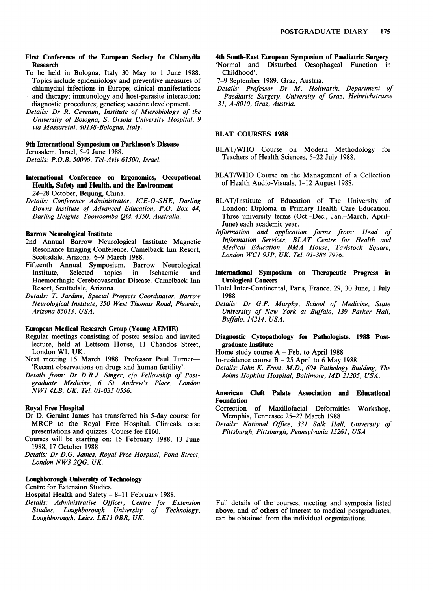#### First Conference of the European Society for Chlamydia Research

- To be held in Bologna, Italy 30 May to <sup>1</sup> June 1988. Topics include epidemiology and preventive measures of chlamydial infections in Europe; clinical manifestations and therapy; immunology and host-parasite interaction; diagnostic procedures; genetics; vaccine development.
- Details: Dr R. Cevenini, Institute of Microbiology of the University of Bologna, S. Orsola University Hospital, 9 via Massaretni, 40138-Bologna, Italy.

#### 9th International Symposium on Parkinson's Disease

Jerusalem, Israel, 5-9 June 1988.

Details: P.O.B. 50006, Tel-Aviv 61500, Israel.

#### International Conference on Ergonomics, Occupational Health, Safety and Health, and the Environment 24-28 October, Beijung, China.

Details: Conference Administrator, ICE-O-SHE, Darling

Downs Institute of Advanced Education, P.O. Box 44, Darling Heights, Toowoomba Qld. 4350, Australia.

# Barrow Neurological Institute

- 2nd Annual Barrow Neurological Institute Magnetic Resonance Imaging Conference. Camelback Inn Resort, Scottsdale, Arizona. 6-9 March 1988.
- Fifteenth Annual Symposium, Barrow Neurological Ischaemic and Haemorrhagic Cerebrovascular Disease. Camelback Inn Resort, Scottsdale, Arizona.
- Details: T. Jardine, Special Projects Coordinator, Barrow Neurological Institute, 350 West Thomas Road, Phoenix, Arizona 85013, USA.

#### European Medical Research Group (Young AEMIE)

- Regular meetings consisting of poster session and invited lecture, held at Lettsom House, <sup>11</sup> Chandos Street, London WI, UK.
- Next meeting 15 March 1988. Professor Paul Turner-'Recent observations on drugs and human fertility'.
- Details from: Dr D.R.J. Singer, c/o Fellowship of Postgraduate Medicine, 6 St Andrew's Place, London NWJ 4LB, UK. Tel. 01-035 0556.

#### Royal Free Hospital

- Dr D. Geraint James has transferred his 5-day course for MRCP to the Royal Free Hospital. Clinicals, case presentations and quizzes. Course fee £160.
- Courses will be starting on: 15 February 1988, 13 June 1988, 17 October 1988
- Details: Dr D.G. James, Royal Free Hospital, Pond Street, London NW3 2QG, UK.

## Loughborough University of Technology

Centre for Extension Studies.

Hospital Health and Safety - 8-11 February 1988.

Details: Administrative Officer, Centre for Extension Studies, Loughborough University of Technology, Loughborough, Leics. LEIJ OBR, UK.

# 4th South-East European Symposium of Paediatric Surgery

- 'Normal and Disturbed Oesophageal Function in Childhood'.
- 7-9 September 1989. Graz, Austria.
- Details: Professor Dr M. Hollwarth, Department of Paediatric Surgery, University of Graz, Heinrichstrasse 31, A-8010, Graz, Austria.

#### BLAT COURSES <sup>1988</sup>

- BLAT/WHO Course on Modern Methodology for Teachers of Health Sciences, 5-22 July 1988.
- BLAT/WHO Course on the Management of <sup>a</sup> Collection of Health Audio-Visuals, 1-12 August 1988.
- BLAT/Institute of Education of The University of London: Diploma in Primary Health Care Education. Three university terms (Oct.-Dec., Jan.-March, April-June) each academic year.
- Information and application forms from: Head of Information Services, BLAT Centre for Health and Medical Education, BMA House, Tavistock Square, London WCJ 9JP, UK. Tel. 01-388 7976.
- International Symposium on Therapeutic Progress in Urological Cancers
- Hotel Inter-Continental, Paris, France. 29, 30 June, <sup>1</sup> July 1988
- Details: Dr G.P. Murphy, School of Medicine, State University of New York at Buffalo, 139 Parker Hall, Buffalo, 14214, USA.

#### Diagnostic Cytopathology for Pathologists. 1988 Postgraduate Institute

- Home study course A Feb. to April <sup>1988</sup>
- In-residence course  $B 25$  April to 6 May 1988
- Details: John K. Frost, M.D., 604 Pathology Building, The Johns Hopkins Hospital, Baltimore, MD 21205, USA.

# American Cleft Palate Association and Educational Foundation

- Correction of Maxillofacial Deformities Workshop, Memphis, Tennessee 25-27 March 1988
- Details: National Office, 331 Salk Hall, University of Pittsburgh, Pittsburgh, Pennsylvania 15261, USA

Full details of the courses, meeting and symposia listed above, and of others of interest to medical postgraduates, can be obtained from the individual organizations.